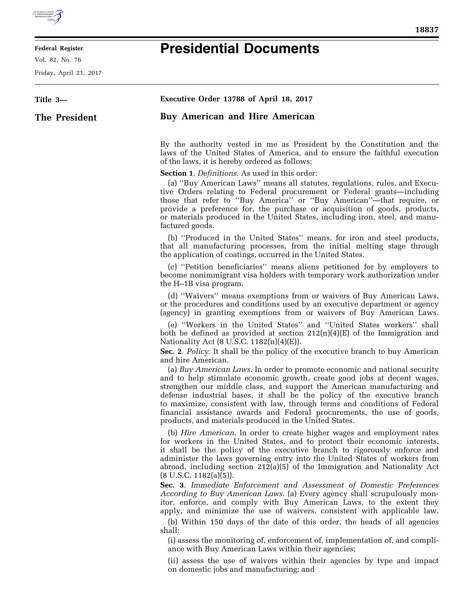

E

## **Federal Register**

Vol. 82, No. 76

Friday, April 21, 2017

## **Presidential Documents**

| Title 3-      | Executive Order 13788 of April 18, 2017                                                                                                                                                                                                                                                                                                                                                                                                                                                                                        |
|---------------|--------------------------------------------------------------------------------------------------------------------------------------------------------------------------------------------------------------------------------------------------------------------------------------------------------------------------------------------------------------------------------------------------------------------------------------------------------------------------------------------------------------------------------|
| The President | <b>Buy American and Hire American</b>                                                                                                                                                                                                                                                                                                                                                                                                                                                                                          |
|               | By the authority vested in me as President by the Constitution and the<br>laws of the United States of America, and to ensure the faithful execution<br>of the laws, it is hereby ordered as follows:                                                                                                                                                                                                                                                                                                                          |
|               | <b>Section 1.</b> <i>Definitions</i> . As used in this order:<br>(a) "Buy American Laws" means all statutes, regulations, rules, and Execu-<br>tive Orders relating to Federal procurement or Federal grants-including<br>those that refer to "Buy America" or "Buy American"-that require, or<br>provide a preference for, the purchase or acquisition of goods, products,<br>or materials produced in the United States, including iron, steel, and manu-<br>factured goods.                                                 |
|               | (b) "Produced in the United States" means, for iron and steel products,<br>that all manufacturing processes, from the initial melting stage through<br>the application of coatings, occurred in the United States.                                                                                                                                                                                                                                                                                                             |
|               | (c) "Petition beneficiaries" means aliens petitioned for by employers to<br>become nonimmigrant visa holders with temporary work authorization under<br>the H-1B visa program.                                                                                                                                                                                                                                                                                                                                                 |
|               | (d) "Waivers" means exemptions from or waivers of Buy American Laws,<br>or the procedures and conditions used by an executive department or agency<br>(agency) in granting exemptions from or waivers of Buy American Laws.                                                                                                                                                                                                                                                                                                    |
|               | (e) "Workers in the United States" and "United States workers" shall<br>both be defined as provided at section $212(n)(4)(E)$ of the Immigration and<br>Nationality Act (8 U.S.C. 1182(n)(4)(E)).<br>Sec. 2. Policy. It shall be the policy of the executive branch to buy American<br>and hire American.                                                                                                                                                                                                                      |
|               | (a) Buy American Laws. In order to promote economic and national security<br>and to help stimulate economic growth, create good jobs at decent wages,<br>strengthen our middle class, and support the American manufacturing and<br>defense industrial bases, it shall be the policy of the executive branch<br>to maximize, consistent with law, through terms and conditions of Federal<br>financial assistance awards and Federal procurements, the use of goods,<br>products, and materials produced in the United States. |
|               | (b) <i>Hire American</i> . In order to create higher wages and employment rates<br>for workers in the United States, and to protect their economic interests,<br>it shall be the policy of the executive branch to rigorously enforce and<br>administer the laws governing entry into the United States of workers from<br>abroad, including section 212(a)(5) of the Immigration and Nationality Act<br>$(8 \text{ U.S.C. } 1182(a)(5)).$                                                                                     |
|               | Sec. 3. Immediate Enforcement and Assessment of Domestic Preferences<br>According to Buy American Laws. (a) Every agency shall scrupulously mon-<br>itor, enforce, and comply with Buy American Laws, to the extent they<br>apply, and minimize the use of waivers, consistent with applicable law.                                                                                                                                                                                                                            |
|               | (b) Within 150 days of the date of this order, the heads of all agencies<br>shall:<br>(i) assess the monitoring of, enforcement of, implementation of, and compli-<br>ance with Buy American Laws within their agencies;                                                                                                                                                                                                                                                                                                       |
|               | (ii) assess the use of waivers within their agencies by type and impact<br>on domestic jobs and manufacturing; and                                                                                                                                                                                                                                                                                                                                                                                                             |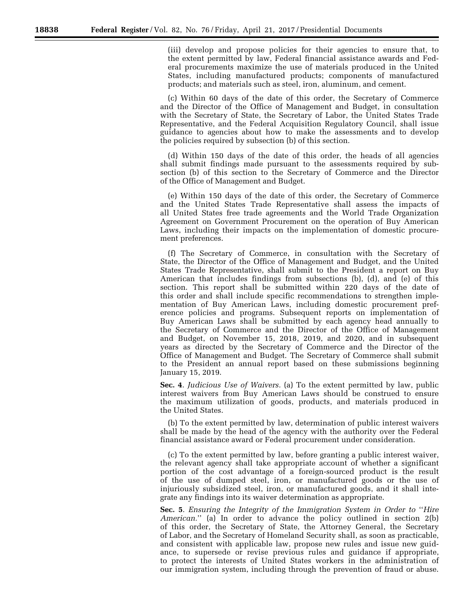(iii) develop and propose policies for their agencies to ensure that, to the extent permitted by law, Federal financial assistance awards and Federal procurements maximize the use of materials produced in the United States, including manufactured products; components of manufactured products; and materials such as steel, iron, aluminum, and cement.

(c) Within 60 days of the date of this order, the Secretary of Commerce and the Director of the Office of Management and Budget, in consultation with the Secretary of State, the Secretary of Labor, the United States Trade Representative, and the Federal Acquisition Regulatory Council, shall issue guidance to agencies about how to make the assessments and to develop the policies required by subsection (b) of this section.

(d) Within 150 days of the date of this order, the heads of all agencies shall submit findings made pursuant to the assessments required by subsection (b) of this section to the Secretary of Commerce and the Director of the Office of Management and Budget.

(e) Within 150 days of the date of this order, the Secretary of Commerce and the United States Trade Representative shall assess the impacts of all United States free trade agreements and the World Trade Organization Agreement on Government Procurement on the operation of Buy American Laws, including their impacts on the implementation of domestic procurement preferences.

(f) The Secretary of Commerce, in consultation with the Secretary of State, the Director of the Office of Management and Budget, and the United States Trade Representative, shall submit to the President a report on Buy American that includes findings from subsections (b), (d), and (e) of this section. This report shall be submitted within 220 days of the date of this order and shall include specific recommendations to strengthen implementation of Buy American Laws, including domestic procurement preference policies and programs. Subsequent reports on implementation of Buy American Laws shall be submitted by each agency head annually to the Secretary of Commerce and the Director of the Office of Management and Budget, on November 15, 2018, 2019, and 2020, and in subsequent years as directed by the Secretary of Commerce and the Director of the Office of Management and Budget. The Secretary of Commerce shall submit to the President an annual report based on these submissions beginning January 15, 2019.

**Sec. 4**. *Judicious Use of Waivers.* (a) To the extent permitted by law, public interest waivers from Buy American Laws should be construed to ensure the maximum utilization of goods, products, and materials produced in the United States.

(b) To the extent permitted by law, determination of public interest waivers shall be made by the head of the agency with the authority over the Federal financial assistance award or Federal procurement under consideration.

(c) To the extent permitted by law, before granting a public interest waiver, the relevant agency shall take appropriate account of whether a significant portion of the cost advantage of a foreign-sourced product is the result of the use of dumped steel, iron, or manufactured goods or the use of injuriously subsidized steel, iron, or manufactured goods, and it shall integrate any findings into its waiver determination as appropriate.

**Sec. 5**. *Ensuring the Integrity of the Immigration System in Order to* ''*Hire American.*'' (a) In order to advance the policy outlined in section 2(b) of this order, the Secretary of State, the Attorney General, the Secretary of Labor, and the Secretary of Homeland Security shall, as soon as practicable, and consistent with applicable law, propose new rules and issue new guidance, to supersede or revise previous rules and guidance if appropriate, to protect the interests of United States workers in the administration of our immigration system, including through the prevention of fraud or abuse.